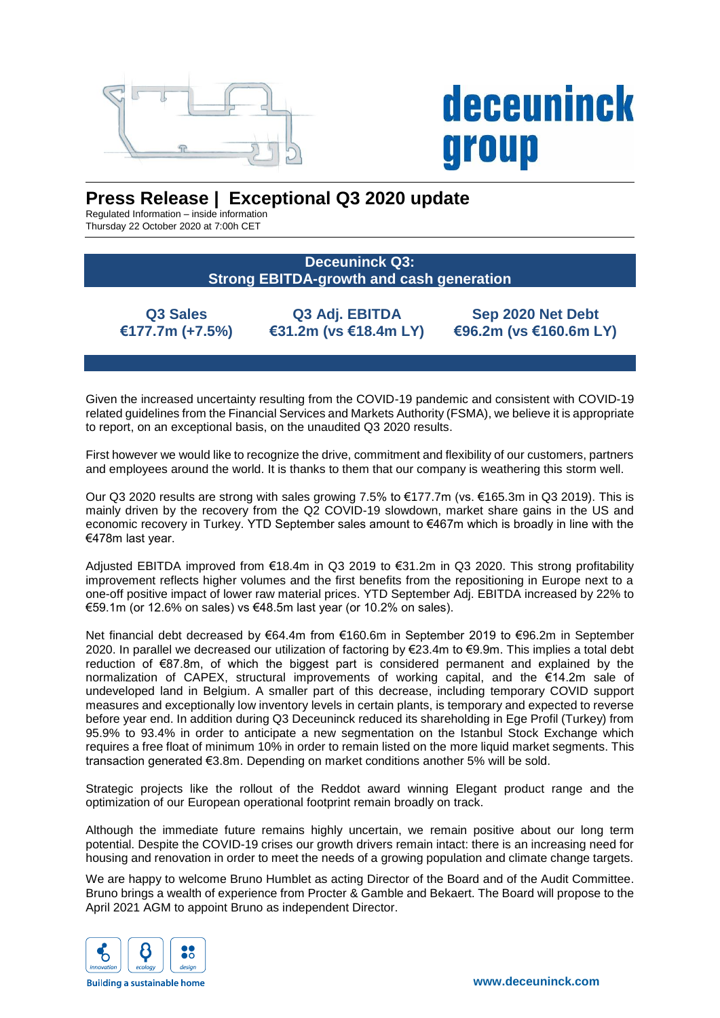

## **deceuninck** group

## **Press Release | Exceptional Q3 2020 update**

Regulated Information – inside information Thursday 22 October 2020 at 7:00h CET

> **Deceuninck Q3: Strong EBITDA-growth and cash generation**

**Q3 Sales €177.7m (+7.5%)**

**Q3 Adj. EBITDA €31.2m (vs €18.4m LY)**

**Sep 2020 Net Debt €96.2m (vs €160.6m LY)**

Given the increased uncertainty resulting from the COVID-19 pandemic and consistent with COVID-19 related guidelines from the Financial Services and Markets Authority (FSMA), we believe it is appropriate to report, on an exceptional basis, on the unaudited Q3 2020 results.

First however we would like to recognize the drive, commitment and flexibility of our customers, partners and employees around the world. It is thanks to them that our company is weathering this storm well.

Our Q3 2020 results are strong with sales growing 7.5% to €177.7m (vs. €165.3m in Q3 2019). This is mainly driven by the recovery from the Q2 COVID-19 slowdown, market share gains in the US and economic recovery in Turkey. YTD September sales amount to €467m which is broadly in line with the €478m last year.

Adjusted EBITDA improved from €18.4m in Q3 2019 to €31.2m in Q3 2020. This strong profitability improvement reflects higher volumes and the first benefits from the repositioning in Europe next to a one-off positive impact of lower raw material prices. YTD September Adj. EBITDA increased by 22% to €59.1m (or 12.6% on sales) vs €48.5m last year (or 10.2% on sales).

Net financial debt decreased by €64.4m from €160.6m in September 2019 to €96.2m in September 2020. In parallel we decreased our utilization of factoring by €23.4m to €9.9m. This implies a total debt reduction of €87.8m, of which the biggest part is considered permanent and explained by the normalization of CAPEX, structural improvements of working capital, and the €14.2m sale of undeveloped land in Belgium. A smaller part of this decrease, including temporary COVID support measures and exceptionally low inventory levels in certain plants, is temporary and expected to reverse before year end. In addition during Q3 Deceuninck reduced its shareholding in Ege Profil (Turkey) from 95.9% to 93.4% in order to anticipate a new segmentation on the Istanbul Stock Exchange which requires a free float of minimum 10% in order to remain listed on the more liquid market segments. This transaction generated €3.8m. Depending on market conditions another 5% will be sold.

Strategic projects like the rollout of the Reddot award winning Elegant product range and the optimization of our European operational footprint remain broadly on track.

Although the immediate future remains highly uncertain, we remain positive about our long term potential. Despite the COVID-19 crises our growth drivers remain intact: there is an increasing need for housing and renovation in order to meet the needs of a growing population and climate change targets.

We are happy to welcome Bruno Humblet as acting Director of the Board and of the Audit Committee. Bruno brings a wealth of experience from Procter & Gamble and Bekaert. The Board will propose to the April 2021 AGM to appoint Bruno as independent Director.



**Building a sustainable home**